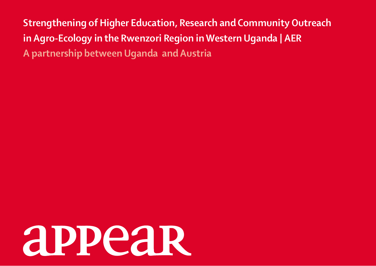**Strengthening of Higher Education, Research and Community Outreach in Agro-Ecology in the Rwenzori Region in Western Uganda | AER A partnership between Uganda and Austria**

# **appear**